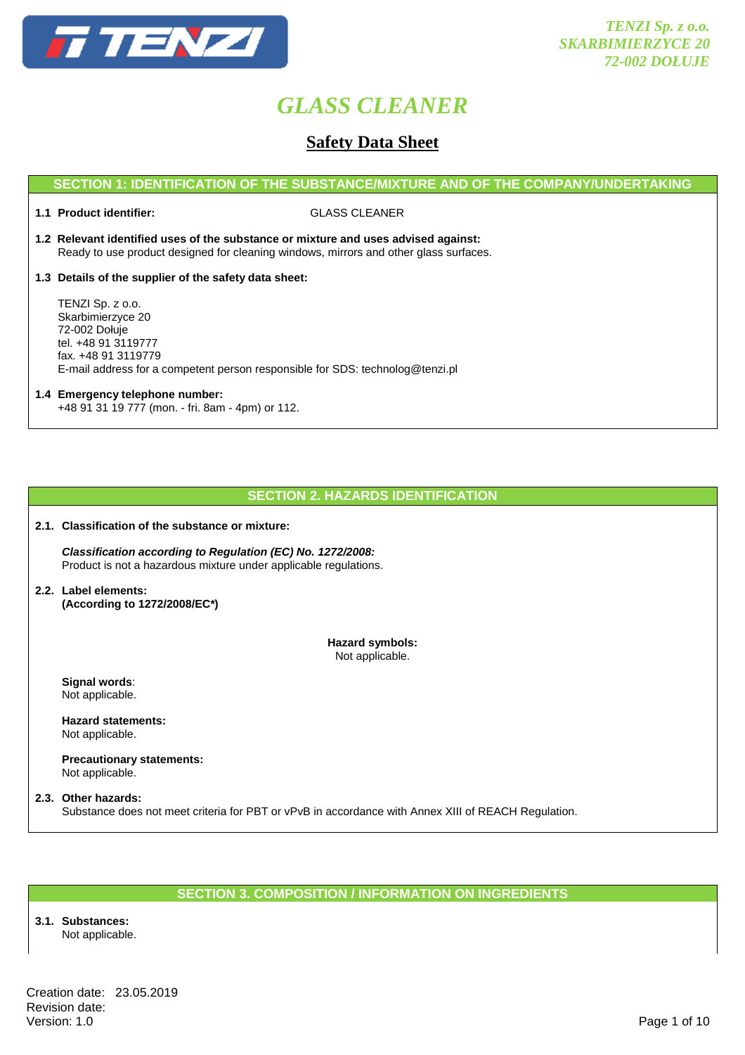

### **Safety Data Sheet**

### **SECTION 1: IDENTIFICATION OF THE SUBSTANCE/MIXTURE AND OF THE COMPANY/UNDERTAKING**

**1.1 Product identifier:** GLASS CLEANER

- **1.2 Relevant identified uses of the substance or mixture and uses advised against:** Ready to use product designed for cleaning windows, mirrors and other glass surfaces.
- **1.3 Details of the supplier of the safety data sheet:**

 TENZI Sp. z o.o. Skarbimierzyce 20 72-002 Dołuje tel. +48 91 3119777 fax. +48 91 3119779 E-mail address for a competent person responsible for SDS: technolog@tenzi.pl

### **1.4 Emergency telephone number:** +48 91 31 19 777 (mon. - fri. 8am - 4pm) or 112.

### **SECTION 2. HAZARDS IDENTIFICATION**

**2.1. Classification of the substance or mixture:** 

 **Classification according to Regulation (EC) No. 1272/2008:** Product is not a hazardous mixture under applicable regulations.

**2.2. Label elements: (According to 1272/2008/EC\*)** 

> **Hazard symbols:**  Not applicable.

 **Signal words**: Not applicable.

 **Hazard statements:**  Not applicable.

 **Precautionary statements:**  Not applicable.

**2.3. Other hazards:**  Substance does not meet criteria for PBT or vPvB in accordance with Annex XIII of REACH Regulation.

### **SECTION 3. COMPOSITION / INFORMATION ON INGREDIENTS**

**3.1. Substances:**  Not applicable.

Creation date: 23.05.2019 Revision date:<br>Version: 1.0 Version: 1.0 Page 1 of 10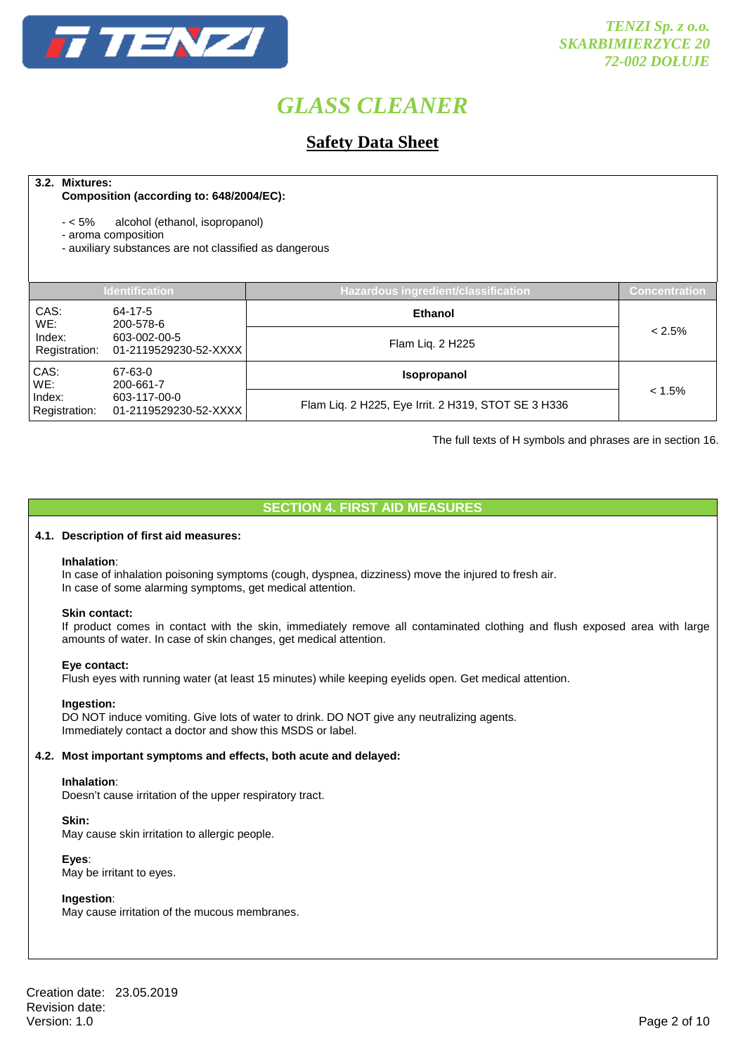

### **Safety Data Sheet**

### **3.2. Mixtures:**

### **Composition (according to: 648/2004/EC):**

- < 5% alcohol (ethanol, isopropanol)
- aroma composition
- auxiliary substances are not classified as dangerous

| <b>Identification</b>                                            |                                       | Hazardous ingredient/classification                 | Concentration |
|------------------------------------------------------------------|---------------------------------------|-----------------------------------------------------|---------------|
| CAS:<br>WE:                                                      | 64-17-5<br>200-578-6                  | <b>Ethanol</b>                                      |               |
| Index:<br>Registration:                                          | 603-002-00-5<br>01-2119529230-52-XXXX | Flam Liq. 2 H225                                    | $< 2.5\%$     |
| CAS:<br>WE:                                                      | 67-63-0<br>200-661-7                  | <b>Isopropanol</b>                                  |               |
| Index:<br>603-117-00-0<br>Registration:<br>01-2119529230-52-XXXX |                                       | Flam Liq. 2 H225, Eye Irrit. 2 H319, STOT SE 3 H336 | $< 1.5\%$     |

The full texts of H symbols and phrases are in section 16.

### **SECTION 4. FIRST AID MEASURES**

### **4.1. Description of first aid measures:**

### **Inhalation**:

In case of inhalation poisoning symptoms (cough, dyspnea, dizziness) move the injured to fresh air. In case of some alarming symptoms, get medical attention.

#### **Skin contact:**

If product comes in contact with the skin, immediately remove all contaminated clothing and flush exposed area with large amounts of water. In case of skin changes, get medical attention.

#### **Eye contact:**

Flush eyes with running water (at least 15 minutes) while keeping eyelids open. Get medical attention.

### **Ingestion:**

DO NOT induce vomiting. Give lots of water to drink. DO NOT give any neutralizing agents. Immediately contact a doctor and show this MSDS or label.

### **4.2. Most important symptoms and effects, both acute and delayed:**

#### **Inhalation**:

Doesn't cause irritation of the upper respiratory tract.

 **Skin:** 

May cause skin irritation to allergic people.

### **Eyes**:

May be irritant to eyes.

### **Ingestion**:

May cause irritation of the mucous membranes.

Creation date: 23.05.2019 Revision date:<br>Version: 1.0 Version: 1.0 Page 2 of 10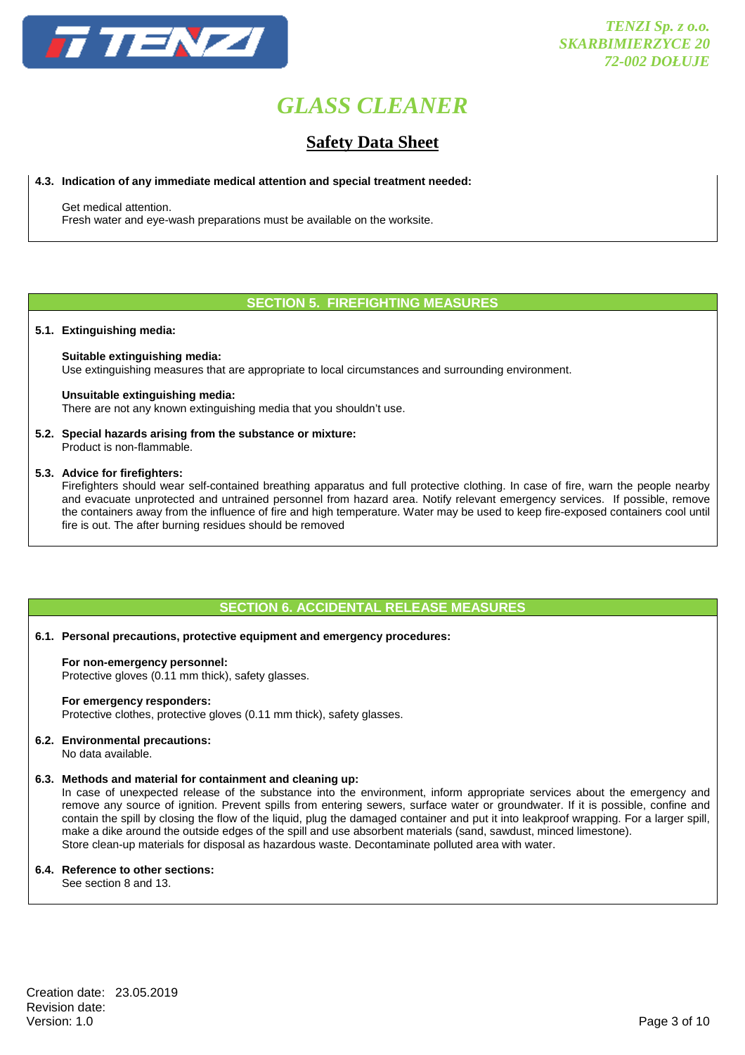

### **Safety Data Sheet**

### **4.3. Indication of any immediate medical attention and special treatment needed:**

Get medical attention.

Fresh water and eye-wash preparations must be available on the worksite.

### **SECTION 5. FIREFIGHTING MEASURES**

### **5.1. Extinguishing media:**

### **Suitable extinguishing media:**

Use extinguishing measures that are appropriate to local circumstances and surrounding environment.

### **Unsuitable extinguishing media:**

There are not any known extinguishing media that you shouldn't use.

### **5.2. Special hazards arising from the substance or mixture:**

Product is non-flammable.

### **5.3. Advice for firefighters:**

 Firefighters should wear self-contained breathing apparatus and full protective clothing. In case of fire, warn the people nearby and evacuate unprotected and untrained personnel from hazard area. Notify relevant emergency services. If possible, remove the containers away from the influence of fire and high temperature. Water may be used to keep fire-exposed containers cool until fire is out. The after burning residues should be removed

### **SECTION 6. ACCIDENTAL RELEASE MEASURES**

### **6.1. Personal precautions, protective equipment and emergency procedures:**

#### **For non-emergency personnel:**

Protective gloves (0.11 mm thick), safety glasses.

### **For emergency responders:**

Protective clothes, protective gloves (0.11 mm thick), safety glasses.

### **6.2. Environmental precautions:**

No data available.

### **6.3. Methods and material for containment and cleaning up:**

 In case of unexpected release of the substance into the environment, inform appropriate services about the emergency and remove any source of ignition. Prevent spills from entering sewers, surface water or groundwater. If it is possible, confine and contain the spill by closing the flow of the liquid, plug the damaged container and put it into leakproof wrapping. For a larger spill, make a dike around the outside edges of the spill and use absorbent materials (sand, sawdust, minced limestone). Store clean-up materials for disposal as hazardous waste. Decontaminate polluted area with water.

### **6.4. Reference to other sections:**

See section 8 and 13.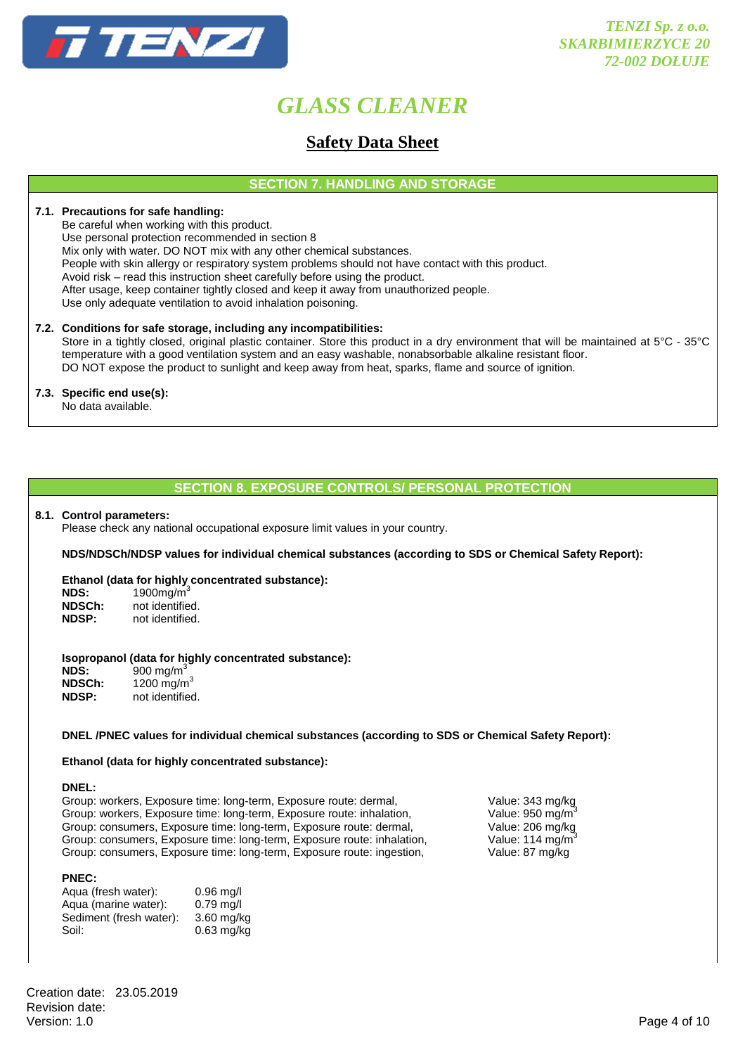

### **Safety Data Sheet**

**SECTION 7. HANDLING AND STORAGE** 

### **7.1. Precautions for safe handling:**

 Be careful when working with this product. Use personal protection recommended in section 8

Mix only with water. DO NOT mix with any other chemical substances.

People with skin allergy or respiratory system problems should not have contact with this product.

Avoid risk – read this instruction sheet carefully before using the product.

After usage, keep container tightly closed and keep it away from unauthorized people.

Use only adequate ventilation to avoid inhalation poisoning.

### **7.2. Conditions for safe storage, including any incompatibilities:**

Store in a tightly closed, original plastic container. Store this product in a dry environment that will be maintained at 5°C - 35°C temperature with a good ventilation system and an easy washable, nonabsorbable alkaline resistant floor. DO NOT expose the product to sunlight and keep away from heat, sparks, flame and source of ignition.

### **7.3. Specific end use(s):**

No data available.

### **SECTION 8. EXPOSURE CONTROLS/ PERSONAL PROTECTION**

### **8.1. Control parameters:**

Please check any national occupational exposure limit values in your country.

**NDS/NDSCh/NDSP values for individual chemical substances (according to SDS or Chemical Safety Report):** 

### **Ethanol (data for highly concentrated substance):**

| <b>NDS:</b>  | 1900 $mg/m3$    |
|--------------|-----------------|
| NDSCh:       | not identified. |
| <b>NDSP:</b> | not identified. |

### **Isopropanol (data for highly concentrated substance):**

**NDS:** 900 mg/m<sup>3</sup><br>**NDSCh:** 1200 mg/n **NDSCh:** 1200 mg/m<sup>3</sup><br>**NDSP:** not identified not identified.

### **DNEL /PNEC values for individual chemical substances (according to SDS or Chemical Safety Report):**

### **Ethanol (data for highly concentrated substance):**

**DNEL:** 

Group: workers, Exposure time: long-term, Exposure route: dermal, Value: 343 mg/kg<br>Group: workers, Exposure time: long-term, Exposure route: inhalation, Value: 950 mg/m<sup>3</sup> Group: workers, Exposure time: long-term, Exposure route: inhalation, Value: 950 mg/m<sup>3</sup><br>Group: consumers, Exposure time: long-term, Exposure route: dermal, Value: 206 mg/kg Group: consumers, Exposure time: long-term, Exposure route: dermal, Group: consumers, Exposure time: long-term, Exposure route: inhalation, Value: 114 mg/m<sup>3</sup> Group: consumers, Exposure time: long-term, Exposure route: ingestion, Value: 87 mg/kg

### **PNEC:**

| Aqua (fresh water):     | $0.96$ mg/l  |
|-------------------------|--------------|
| Aqua (marine water):    | $0.79$ mg/l  |
| Sediment (fresh water): | $3.60$ mg/kg |
| Soil:                   | $0.63$ mg/kg |

Creation date: 23.05.2019 Revision date:<br>Version: 1.0 Version: 1.0 Page 4 of 10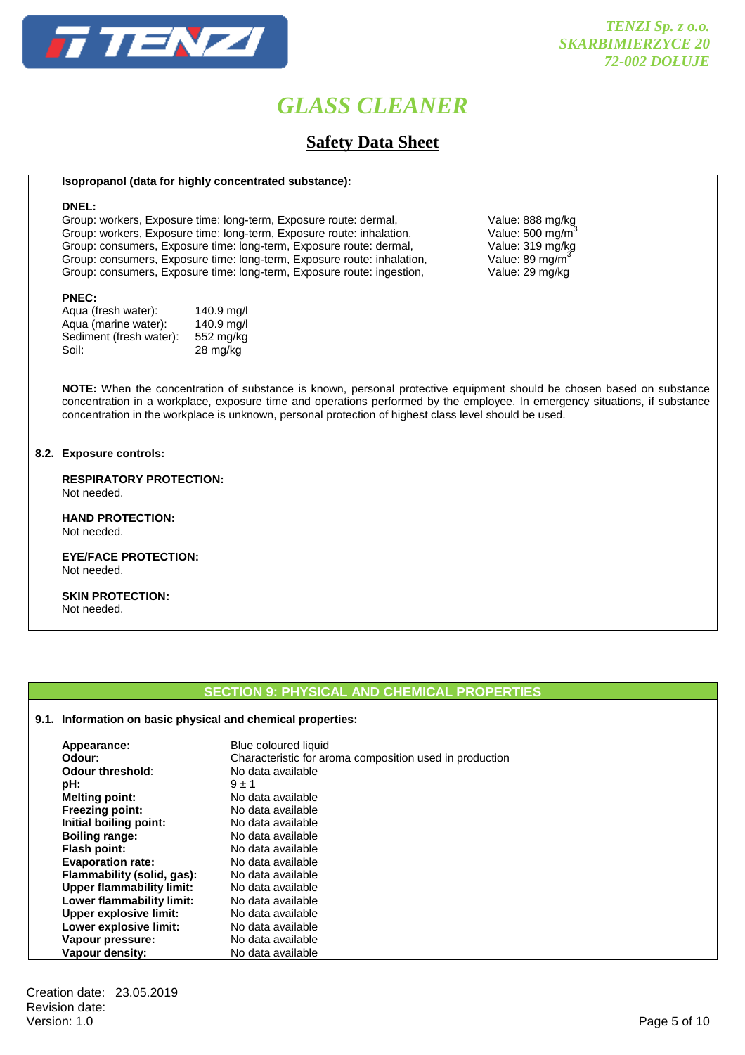

# **Safety Data Sheet**

### **Isopropanol (data for highly concentrated substance):**

### **DNEL:**

Group: workers, Exposure time: long-term, Exposure route: dermal, Value: 888 mg/kg<br>Group: workers, Exposure time: long-term, Exposure route: inhalation, Value: 500 mg/m<sup>3</sup> Group: workers, Exposure time: long-term, Exposure route: inhalation, Value: 500 mg/m<sup>3</sup><br>Group: consumers, Exposure time: long-term, Exposure route: dermal, Value: 319 mg/kg Group: consumers, Exposure time: long-term, Exposure route: dermal, Group: consumers, Exposure time: long-term, Exposure route: inhalation, Value: 89 mg/m<sup>3</sup><br>Group: consumers, Exposure time: long-term, Exposure route: ingestion, Value: 29 mg/kg Group: consumers, Exposure time: long-term, Exposure route: ingestion,

### **PNEC:**

| Agua (fresh water):     | 140.9 mg/l         |
|-------------------------|--------------------|
| Aqua (marine water):    | 140.9 mg/l         |
| Sediment (fresh water): | 552 mg/kg          |
| Soil:                   | $28 \text{ mg/kg}$ |
|                         |                    |

**NOTE:** When the concentration of substance is known, personal protective equipment should be chosen based on substance concentration in a workplace, exposure time and operations performed by the employee. In emergency situations, if substance concentration in the workplace is unknown, personal protection of highest class level should be used.

### **8.2. Exposure controls:**

 **RESPIRATORY PROTECTION:**  Not needed.

 **HAND PROTECTION:**  Not needed.

 **EYE/FACE PROTECTION:**  Not needed.

 **SKIN PROTECTION:**  Not needed.

### **SECTION 9: PHYSICAL AND CHEMICAL PROPERTIES**

### **9.1. Information on basic physical and chemical properties:**

| Appearance:<br>Odour:<br>Odour threshold: | Blue coloured liquid<br>Characteristic for aroma composition used in production<br>No data available |
|-------------------------------------------|------------------------------------------------------------------------------------------------------|
| pH:                                       | $9 \pm 1$                                                                                            |
| <b>Melting point:</b>                     | No data available                                                                                    |
| <b>Freezing point:</b>                    | No data available                                                                                    |
| Initial boiling point:                    | No data available                                                                                    |
| <b>Boiling range:</b>                     | No data available                                                                                    |
| <b>Flash point:</b>                       | No data available                                                                                    |
| <b>Evaporation rate:</b>                  | No data available                                                                                    |
| Flammability (solid, gas):                | No data available                                                                                    |
| <b>Upper flammability limit:</b>          | No data available                                                                                    |
| Lower flammability limit:                 | No data available                                                                                    |
| <b>Upper explosive limit:</b>             | No data available                                                                                    |
| Lower explosive limit:                    | No data available                                                                                    |
| Vapour pressure:                          | No data available                                                                                    |
| Vapour density:                           | No data available                                                                                    |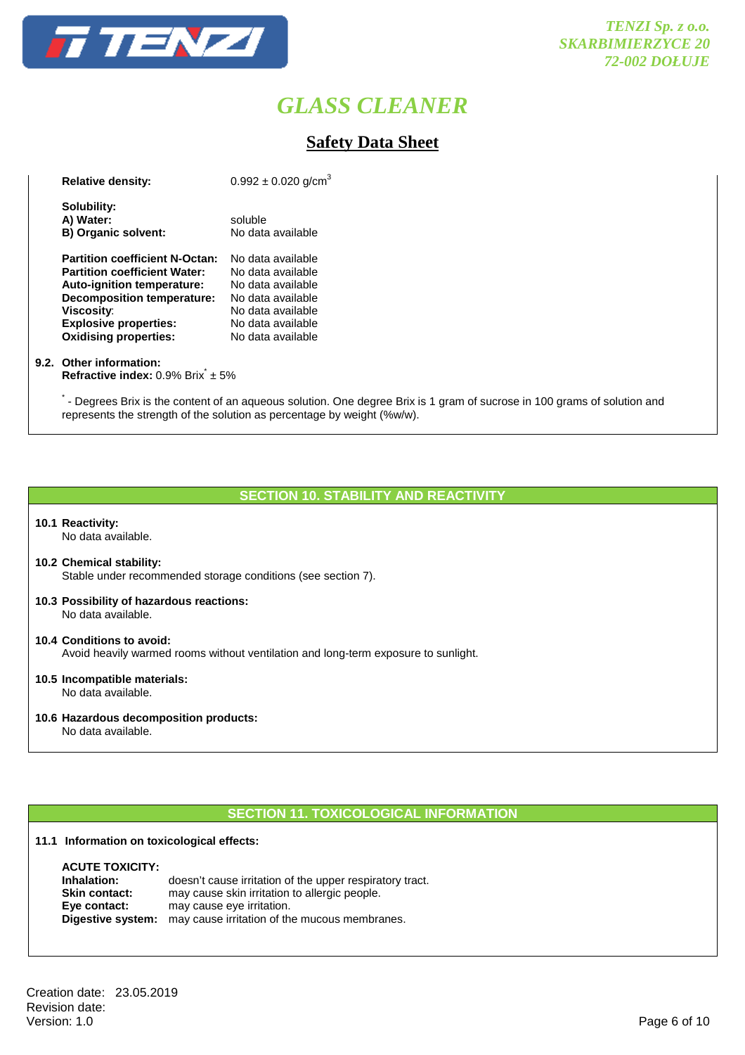

### **Safety Data Sheet**

| <b>Relative density:</b>                                                                                                                                                                                                             | $0.992 \pm 0.020$ g/cm <sup>3</sup>                                                                                                             |
|--------------------------------------------------------------------------------------------------------------------------------------------------------------------------------------------------------------------------------------|-------------------------------------------------------------------------------------------------------------------------------------------------|
| Solubility:<br>A) Water:<br>B) Organic solvent:                                                                                                                                                                                      | soluble<br>No data available                                                                                                                    |
| <b>Partition coefficient N-Octan:</b><br><b>Partition coefficient Water:</b><br>Auto-ignition temperature:<br><b>Decomposition temperature:</b><br><b>Viscosity:</b><br><b>Explosive properties:</b><br><b>Oxidising properties:</b> | No data available<br>No data available<br>No data available<br>No data available<br>No data available<br>No data available<br>No data available |

### **9.2. Other information:**

**Refractive index:** 0.9% Brix<sup>\*</sup> ± 5%

\* - Degrees Brix is the content of an aqueous solution. One degree Brix is 1 gram of sucrose in 100 grams of solution and represents the strength of the solution as percentage by weight (%w/w).

### **SECTION 10. STABILITY AND REACTIVITY**

### **10.1 Reactivity:**

No data available.

- **10.2 Chemical stability:** Stable under recommended storage conditions (see section 7).
- **10.3 Possibility of hazardous reactions:** No data available.
- **10.4 Conditions to avoid:** Avoid heavily warmed rooms without ventilation and long-term exposure to sunlight.
- **10.5 Incompatible materials:** No data available.
- **10.6 Hazardous decomposition products:**

No data available.

### **SECTION 11. TOXICOLOGICAL INFORMATION**

### **11.1 Information on toxicological effects:**

| doesn't cause irritation of the upper respiratory tract.               |
|------------------------------------------------------------------------|
| may cause skin irritation to allergic people.                          |
| may cause eye irritation.                                              |
| <b>Digestive system:</b> may cause irritation of the mucous membranes. |
|                                                                        |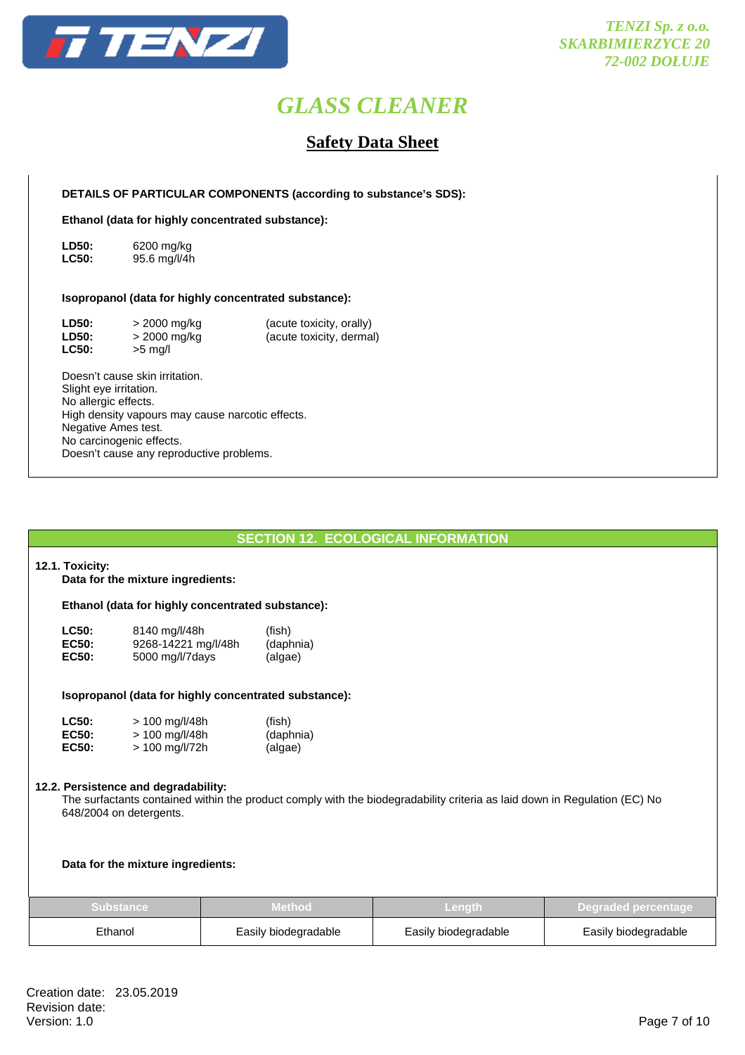

### **Safety Data Sheet**

 **DETAILS OF PARTICULAR COMPONENTS (according to substance's SDS):** 

 **Ethanol (data for highly concentrated substance):** 

**LD50:** 6200 mg/kg **LC50:** 95.6 mg/l/4h

### **Isopropanol (data for highly concentrated substance):**

| <b>LD50:</b> | > 2000 mg/kg | (acute toxicity, orally) |
|--------------|--------------|--------------------------|
| <b>LD50:</b> | > 2000 mg/kg | (acute toxicity, dermal) |
| <b>LC50:</b> | $>5$ mg/l    |                          |

 Doesn't cause skin irritation. Slight eye irritation. No allergic effects. High density vapours may cause narcotic effects. Negative Ames test. No carcinogenic effects. Doesn't cause any reproductive problems.

### **SECTION 12. ECOLOGICAL INFORMATION**

### **12.1. Toxicity:**

**Data for the mixture ingredients:** 

### **Ethanol (data for highly concentrated substance):**

| <b>LC50:</b> | 8140 mg/l/48h       | (fish)    |
|--------------|---------------------|-----------|
| <b>EC50:</b> | 9268-14221 mg/l/48h | (daphnia) |
| EC50:        | 5000 mg/l/7days     | (algae)   |

### **Isopropanol (data for highly concentrated substance):**

| <b>LC50:</b> | $> 100$ mg/l/48h | (fish)    |
|--------------|------------------|-----------|
| <b>EC50:</b> | $> 100$ mg/l/48h | (daphnia) |
| <b>EC50:</b> | $> 100$ mg/l/72h | (algae)   |

### **12.2. Persistence and degradability:**

 The surfactants contained within the product comply with the biodegradability criteria as laid down in Regulation (EC) No 648/2004 on detergents.

**Data for the mixture ingredients:** 

| <b>Substance</b> | Method.              | /Length              | Degraded percentage  |
|------------------|----------------------|----------------------|----------------------|
| Ethanol          | Easily biodegradable | Easily biodegradable | Easily biodegradable |

Creation date: 23.05.2019 Revision date:<br>Version: 1.0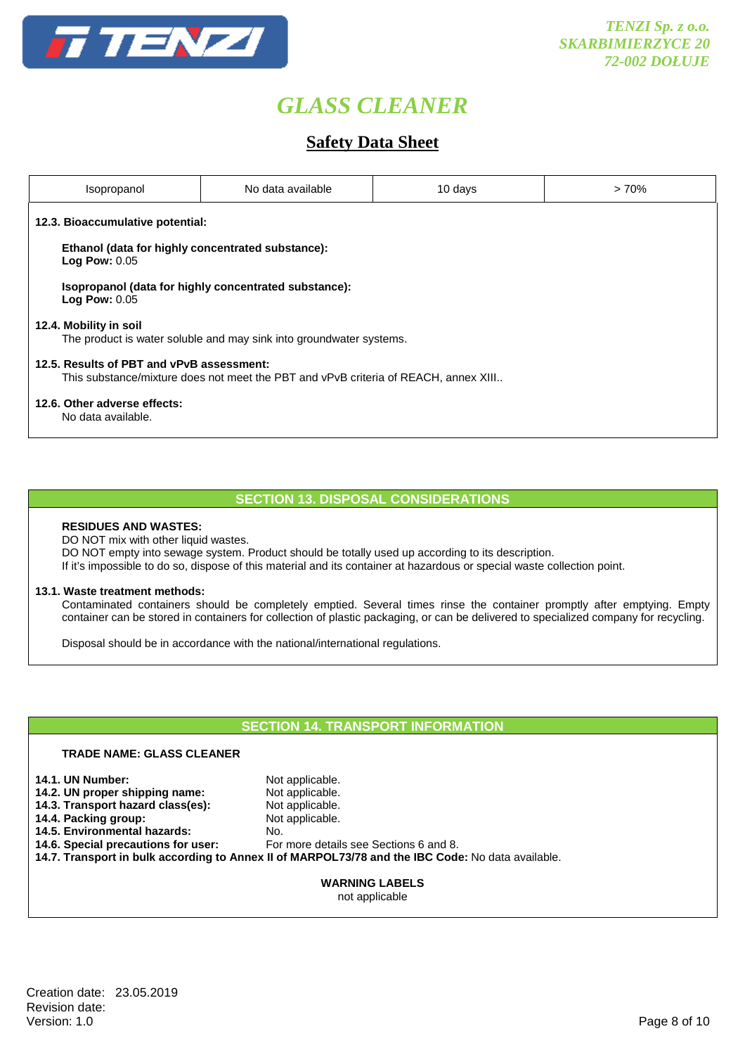

## **Safety Data Sheet**

| Isopropanol                                                                                                                      | No data available | 10 days | >70% |  |
|----------------------------------------------------------------------------------------------------------------------------------|-------------------|---------|------|--|
| 12.3. Bioaccumulative potential:                                                                                                 |                   |         |      |  |
| Ethanol (data for highly concentrated substance):<br><b>Log Pow: 0.05</b>                                                        |                   |         |      |  |
| Isopropanol (data for highly concentrated substance):<br><b>Log Pow: 0.05</b>                                                    |                   |         |      |  |
| 12.4. Mobility in soil<br>The product is water soluble and may sink into groundwater systems.                                    |                   |         |      |  |
| 12.5. Results of PBT and vPvB assessment:<br>This substance/mixture does not meet the PBT and vPvB criteria of REACH, annex XIII |                   |         |      |  |
| 12.6. Other adverse effects:<br>No data available.                                                                               |                   |         |      |  |

### **SECTION 13. DISPOSAL CONSIDERATIONS**

### **RESIDUES AND WASTES:**

DO NOT mix with other liquid wastes.

DO NOT empty into sewage system. Product should be totally used up according to its description.

If it's impossible to do so, dispose of this material and its container at hazardous or special waste collection point.

### **13.1. Waste treatment methods:**

 Contaminated containers should be completely emptied. Several times rinse the container promptly after emptying. Empty container can be stored in containers for collection of plastic packaging, or can be delivered to specialized company for recycling.

Disposal should be in accordance with the national/international regulations.

### **SECTION 14. TRANSPORT INFORMATION**

### **TRADE NAME: GLASS CLEANER**

| <b>14.1. UN Number:</b><br>14.2. UN proper shipping name:<br>14.3. Transport hazard class(es):<br>14.4. Packing group:                                                                                                    | Not applicable.<br>Not applicable.<br>Not applicable.<br>Not applicable. |
|---------------------------------------------------------------------------------------------------------------------------------------------------------------------------------------------------------------------------|--------------------------------------------------------------------------|
| 14.5. Environmental hazards:<br>No.<br>14.6. Special precautions for user:<br>For more details see Sections 6 and 8.<br>14.7. Transport in bulk according to Annex II of MARPOL73/78 and the IBC Code: No data available. |                                                                          |
|                                                                                                                                                                                                                           | <b>WARNING LABELS</b><br>not applicable                                  |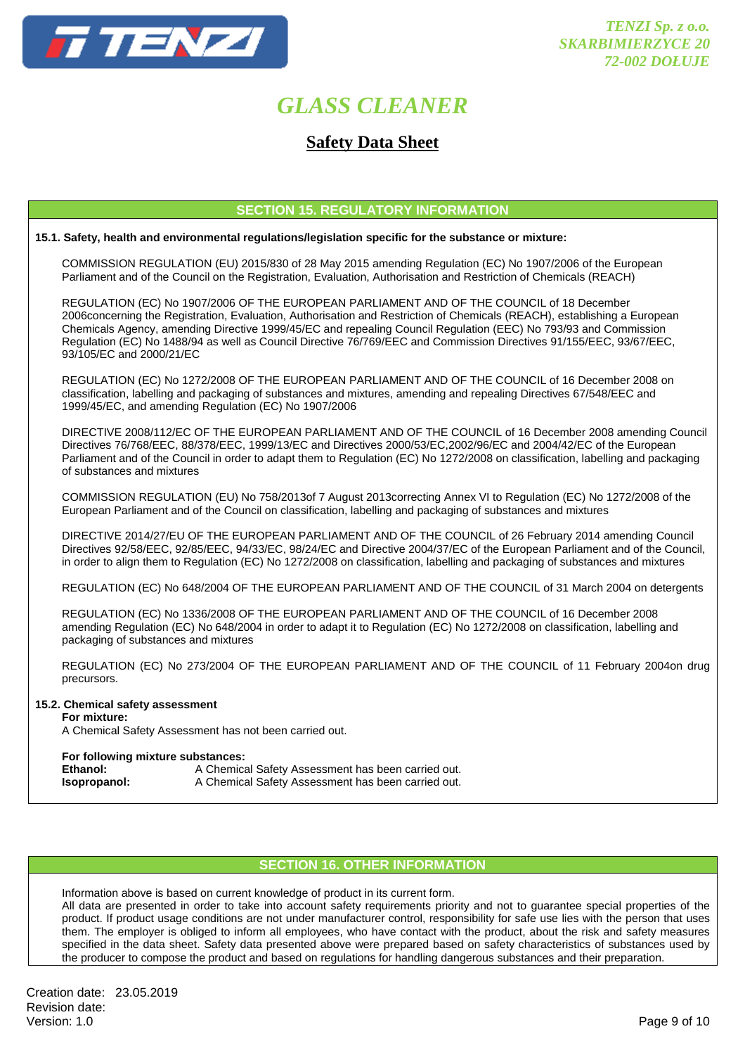

### **Safety Data Sheet**

### **SECTION 15. REGULATORY INFORMATION**

### **15.1. Safety, health and environmental regulations/legislation specific for the substance or mixture:**

COMMISSION REGULATION (EU) 2015/830 of 28 May 2015 amending Regulation (EC) No 1907/2006 of the European Parliament and of the Council on the Registration, Evaluation, Authorisation and Restriction of Chemicals (REACH)

 REGULATION (EC) No 1907/2006 OF THE EUROPEAN PARLIAMENT AND OF THE COUNCIL of 18 December 2006concerning the Registration, Evaluation, Authorisation and Restriction of Chemicals (REACH), establishing a European Chemicals Agency, amending Directive 1999/45/EC and repealing Council Regulation (EEC) No 793/93 and Commission Regulation (EC) No 1488/94 as well as Council Directive 76/769/EEC and Commission Directives 91/155/EEC, 93/67/EEC, 93/105/EC and 2000/21/EC

 REGULATION (EC) No 1272/2008 OF THE EUROPEAN PARLIAMENT AND OF THE COUNCIL of 16 December 2008 on classification, labelling and packaging of substances and mixtures, amending and repealing Directives 67/548/EEC and 1999/45/EC, and amending Regulation (EC) No 1907/2006

 DIRECTIVE 2008/112/EC OF THE EUROPEAN PARLIAMENT AND OF THE COUNCIL of 16 December 2008 amending Council Directives 76/768/EEC, 88/378/EEC, 1999/13/EC and Directives 2000/53/EC,2002/96/EC and 2004/42/EC of the European Parliament and of the Council in order to adapt them to Regulation (EC) No 1272/2008 on classification, labelling and packaging of substances and mixtures

 COMMISSION REGULATION (EU) No 758/2013of 7 August 2013correcting Annex VI to Regulation (EC) No 1272/2008 of the European Parliament and of the Council on classification, labelling and packaging of substances and mixtures

 DIRECTIVE 2014/27/EU OF THE EUROPEAN PARLIAMENT AND OF THE COUNCIL of 26 February 2014 amending Council Directives 92/58/EEC, 92/85/EEC, 94/33/EC, 98/24/EC and Directive 2004/37/EC of the European Parliament and of the Council, in order to align them to Regulation (EC) No 1272/2008 on classification, labelling and packaging of substances and mixtures

REGULATION (EC) No 648/2004 OF THE EUROPEAN PARLIAMENT AND OF THE COUNCIL of 31 March 2004 on detergents

 REGULATION (EC) No 1336/2008 OF THE EUROPEAN PARLIAMENT AND OF THE COUNCIL of 16 December 2008 amending Regulation (EC) No 648/2004 in order to adapt it to Regulation (EC) No 1272/2008 on classification, labelling and packaging of substances and mixtures

 REGULATION (EC) No 273/2004 OF THE EUROPEAN PARLIAMENT AND OF THE COUNCIL of 11 February 2004on drug precursors.

### **15.2. Chemical safety assessment**

 **For mixture:** 

A Chemical Safety Assessment has not been carried out.

### **For following mixture substances:**

**Ethanol:** A Chemical Safety Assessment has been carried out. **Isopropanol:** A Chemical Safety Assessment has been carried out.

### **SECTION 16. OTHER INFORMATION**

Information above is based on current knowledge of product in its current form.

 All data are presented in order to take into account safety requirements priority and not to guarantee special properties of the product. If product usage conditions are not under manufacturer control, responsibility for safe use lies with the person that uses them. The employer is obliged to inform all employees, who have contact with the product, about the risk and safety measures specified in the data sheet. Safety data presented above were prepared based on safety characteristics of substances used by the producer to compose the product and based on regulations for handling dangerous substances and their preparation.

Creation date: 23.05.2019 Revision date:<br>Version: 1.0 Version: 1.0 Page 9 of 10